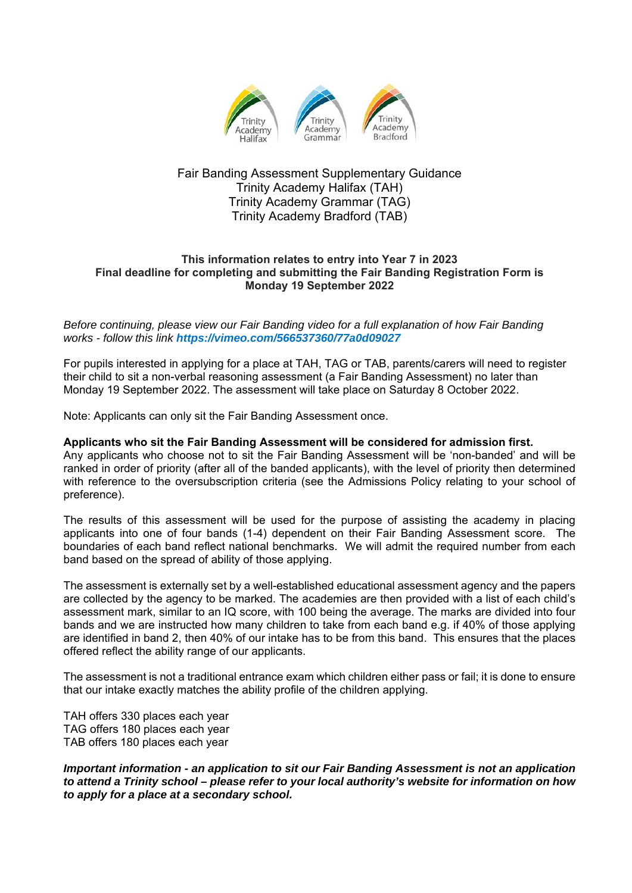

## Fair Banding Assessment Supplementary Guidance Trinity Academy Halifax (TAH) Trinity Academy Grammar (TAG) Trinity Academy Bradford (TAB)

## **This information relates to entry into Year 7 in 2023 Final deadline for completing and submitting the Fair Banding Registration Form is Monday 19 September 2022**

*Before continuing, please view our Fair Banding video for a full explanation of how Fair Banding works - follow this link https://vimeo.com/566537360/77a0d09027*

For pupils interested in applying for a place at TAH, TAG or TAB, parents/carers will need to register their child to sit a non-verbal reasoning assessment (a Fair Banding Assessment) no later than Monday 19 September 2022. The assessment will take place on Saturday 8 October 2022.

Note: Applicants can only sit the Fair Banding Assessment once.

## **Applicants who sit the Fair Banding Assessment will be considered for admission first.**

Any applicants who choose not to sit the Fair Banding Assessment will be 'non-banded' and will be ranked in order of priority (after all of the banded applicants), with the level of priority then determined with reference to the oversubscription criteria (see the Admissions Policy relating to your school of preference).

The results of this assessment will be used for the purpose of assisting the academy in placing applicants into one of four bands (1-4) dependent on their Fair Banding Assessment score. The boundaries of each band reflect national benchmarks. We will admit the required number from each band based on the spread of ability of those applying.

The assessment is externally set by a well-established educational assessment agency and the papers are collected by the agency to be marked. The academies are then provided with a list of each child's assessment mark, similar to an IQ score, with 100 being the average. The marks are divided into four bands and we are instructed how many children to take from each band e.g. if 40% of those applying are identified in band 2, then 40% of our intake has to be from this band. This ensures that the places offered reflect the ability range of our applicants.

The assessment is not a traditional entrance exam which children either pass or fail; it is done to ensure that our intake exactly matches the ability profile of the children applying.

TAH offers 330 places each year TAG offers 180 places each year TAB offers 180 places each year

*Important information - an application to sit our Fair Banding Assessment is not an application to attend a Trinity school – please refer to your local authority's website for information on how to apply for a place at a secondary school.*